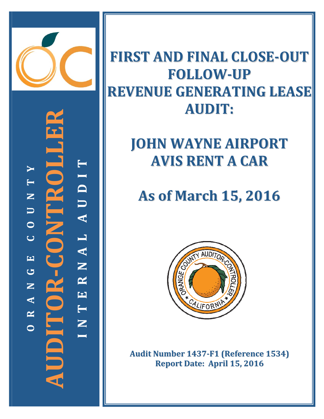

**‐CONTROLLER TYI T D** OR-CONTR **N U U A O CL A EN G R AUDITOR N E A T R** Ξ **N OI**

### **FIRST AND FINAL CLOSE‐OUT FOLLOW‐UP REVENUE GENERATING LEASE AUDIT:**

## **JOHN WAYNE AIRPORT AVIS RENT A CAR**

# **As of March 15, 2016**



**Audit Number 1437‐F1 (Reference 1534) Report Date: April 15, 2016**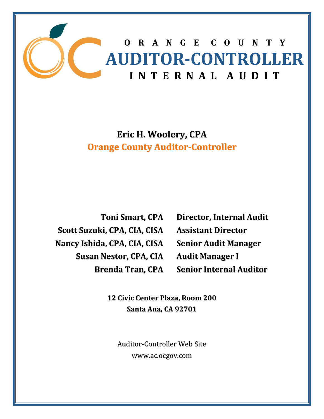

### **Eric H. Woolery, CPA Orange County Auditor‐Controller**

**Toni Smart, CPA Scott Suzuki, CPA, CIA, CISA Nancy Ishida, CPA, CIA, CISA Susan Nestor, CPA, CIA Brenda Tran, CPA**

**Director, Internal Audit Assistant Director Senior Audit Manager Audit Manager I Senior Internal Auditor**

**12 Civic Center Plaza, Room 200 Santa Ana, CA 92701**

Auditor‐Controller Web Site www.ac.ocgov.com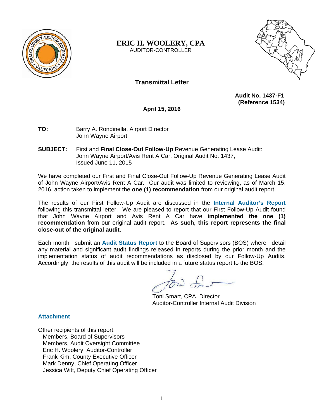

#### **ERIC H. WOOLERY, CPA**  AUDITOR-CONTROLLER



#### **Transmittal Letter**

 **Audit No. 1437-F1 (Reference 1534)** 

**April 15, 2016** 

**TO:** Barry A. Rondinella, Airport Director John Wayne Airport

**SUBJECT:** First and **Final Close-Out Follow-Up** Revenue Generating Lease Audit: John Wayne Airport/Avis Rent A Car, Original Audit No. 1437, Issued June 11, 2015

We have completed our First and Final Close-Out Follow-Up Revenue Generating Lease Audit of John Wayne Airport/Avis Rent A Car. Our audit was limited to reviewing, as of March 15, 2016, action taken to implement the **one (1) recommendation** from our original audit report.

The results of our First Follow-Up Audit are discussed in the **Internal Auditor's Report** following this transmittal letter. We are pleased to report that our First Follow-Up Audit found that John Wayne Airport and Avis Rent A Car have **implemented the one (1) recommendation** from our original audit report. **As such, this report represents the final close-out of the original audit.** 

Each month I submit an **Audit Status Report** to the Board of Supervisors (BOS) where I detail any material and significant audit findings released in reports during the prior month and the implementation status of audit recommendations as disclosed by our Follow-Up Audits. Accordingly, the results of this audit will be included in a future status report to the BOS.

 Toni Smart, CPA, Director Auditor-Controller Internal Audit Division

#### **Attachment**

Other recipients of this report: Members, Board of Supervisors Members, Audit Oversight Committee Eric H. Woolery, Auditor-Controller Frank Kim, County Executive Officer Mark Denny, Chief Operating Officer Jessica Witt, Deputy Chief Operating Officer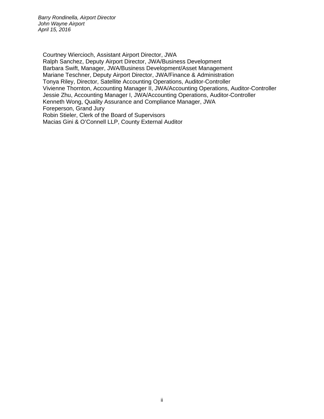Courtney Wiercioch, Assistant Airport Director, JWA Ralph Sanchez, Deputy Airport Director, JWA/Business Development Barbara Swift, Manager, JWA/Business Development/Asset Management Mariane Teschner, Deputy Airport Director, JWA/Finance & Administration Tonya Riley, Director, Satellite Accounting Operations, Auditor-Controller Vivienne Thornton, Accounting Manager II, JWA/Accounting Operations, Auditor-Controller Jessie Zhu, Accounting Manager I, JWA/Accounting Operations, Auditor-Controller Kenneth Wong, Quality Assurance and Compliance Manager, JWA Foreperson, Grand Jury Robin Stieler, Clerk of the Board of Supervisors Macias Gini & O'Connell LLP, County External Auditor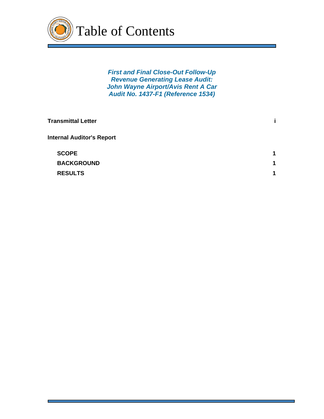

*First and Final Close-Out Follow-Up Revenue Generating Lease Audit: John Wayne Airport/Avis Rent A Car Audit No. 1437-F1 (Reference 1534)* 

| <b>Transmittal Letter</b>        |                      |
|----------------------------------|----------------------|
| <b>Internal Auditor's Report</b> |                      |
| <b>SCOPE</b>                     | 1                    |
| <b>BACKGROUND</b>                | $\blacktriangleleft$ |
| <b>RESULTS</b>                   | 1                    |